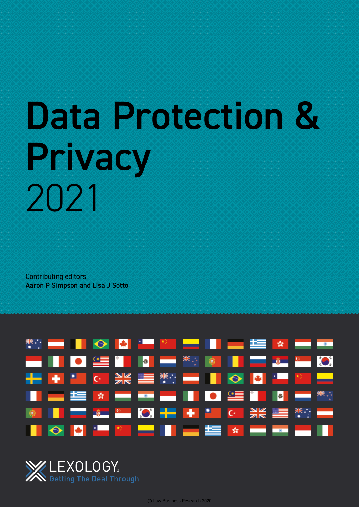# Data Protection & Privacy 2021

Contributing editors Aaron P Simpson and Lisa J Sotto



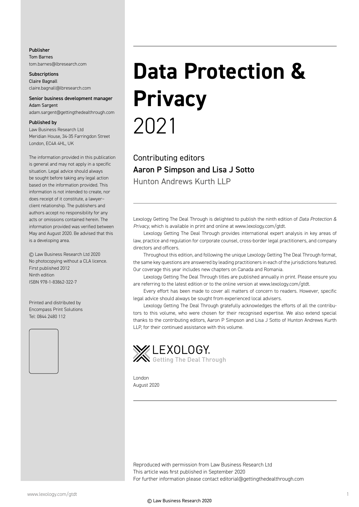#### Publisher Tom Barnes tom.barnes@lbresearch.com

**Subscriptions** Claire Bagnall claire.bagnall@lbresearch.com

#### Senior business development manager Adam Sargent

adam.sargent@gettingthedealthrough.com

#### Published by

Law Business Research Ltd Meridian House, 34-35 Farringdon Street London, EC4A 4HL, UK

The information provided in this publication is general and may not apply in a specific situation. Legal advice should always be sought before taking any legal action based on the information provided. This information is not intended to create, nor does receipt of it constitute, a lawyer– client relationship. The publishers and authors accept no responsibility for any acts or omissions contained herein. The information provided was verified between May and August 2020. Be advised that this is a developing area.

© Law Business Research Ltd 2020 No photocopying without a CLA licence. First published 2012 Ninth edition ISBN 978-1-83862-322-7

Printed and distributed by Encompass Print Solutions Tel: 0844 2480 112



## **Data Protection & Privacy** 2021

Contributing editors Aaron P Simpson and Lisa J Sotto Hunton Andrews Kurth LLP

Lexology Getting The Deal Through is delighted to publish the ninth edition of *Data Protection & Privacy*, which is available in print and online at www.lexology.com/gtdt.

Lexology Getting The Deal Through provides international expert analysis in key areas of law, practice and regulation for corporate counsel, cross-border legal practitioners, and company directors and officers.

Throughout this edition, and following the unique Lexology Getting The Deal Through format, the same key questions are answered by leading practitioners in each of the jurisdictions featured. Our coverage this year includes new chapters on Canada and Romania.

Lexology Getting The Deal Through titles are published annually in print. Please ensure you are referring to the latest edition or to the online version at www.lexology.com/gtdt.

Every effort has been made to cover all matters of concern to readers. However, specific legal advice should always be sought from experienced local advisers.

Lexology Getting The Deal Through gratefully acknowledges the efforts of all the contributors to this volume, who were chosen for their recognised expertise. We also extend special thanks to the contributing editors, Aaron P Simpson and Lisa J Sotto of Hunton Andrews Kurth LLP, for their continued assistance with this volume.



London August 2020

Reproduced with permission from Law Business Research Ltd This article was first published in September 2020 For further information please contact editorial@gettingthedealthrough.com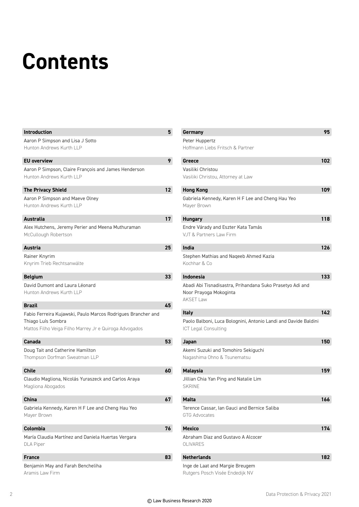### **Contents**

| <b>Introduction</b>                                          | 5  |
|--------------------------------------------------------------|----|
| Aaron P Simpson and Lisa J Sotto                             |    |
| Hunton Andrews Kurth LLP                                     |    |
| <b>EU</b> overview                                           | 9  |
| Aaron P Simpson, Claire François and James Henderson         |    |
| Hunton Andrews Kurth LLP                                     |    |
| <b>The Privacy Shield</b>                                    | 12 |
| Aaron P Simpson and Maeve Olney                              |    |
| Hunton Andrews Kurth LLP                                     |    |
| <b>Australia</b>                                             | 17 |
| Alex Hutchens, Jeremy Perier and Meena Muthuraman            |    |
| McCullough Robertson                                         |    |
| Austria                                                      | 25 |
| Rainer Knyrim                                                |    |
| Knyrim Trieb Rechtsanwälte                                   |    |
| <b>Belgium</b>                                               | 33 |
| David Dumont and Laura Léonard                               |    |
| Hunton Andrews Kurth LLP                                     |    |
| Brazil                                                       | 45 |
| Fabio Ferreira Kujawski, Paulo Marcos Rodrigues Brancher and |    |
| Thiago Luís Sombra                                           |    |
| Mattos Filho Veiga Filho Marrey Jr e Quiroga Advogados       |    |
| Canada                                                       | 53 |
| Doug Tait and Catherine Hamilton                             |    |
| Thompson Dorfman Sweatman LLP                                |    |
| Chile                                                        | 60 |
| Claudio Magliona, Nicolás Yuraszeck and Carlos Araya         |    |
| Magliona Abogados                                            |    |
| <b>China</b>                                                 | 67 |
| Gabriela Kennedy, Karen H F Lee and Cheng Hau Yeo            |    |
| Mayer Brown                                                  |    |
| Colombia                                                     | 76 |
| María Claudia Martínez and Daniela Huertas Vergara           |    |
| <b>DLA Piper</b>                                             |    |
| <b>France</b>                                                | 83 |
| Benjamin May and Farah Bencheliha                            |    |
| Aramis Law Firm                                              |    |

| Germany                                                         | 95  |
|-----------------------------------------------------------------|-----|
| Peter Huppertz                                                  |     |
| Hoffmann Liebs Fritsch & Partner                                |     |
| Greece                                                          | 102 |
| Vasiliki Christou                                               |     |
| Vasiliki Christou, Attorney at Law                              |     |
| <b>Hong Kong</b>                                                | 109 |
| Gabriela Kennedy, Karen H F Lee and Cheng Hau Yeo               |     |
| Mayer Brown                                                     |     |
| <b>Hungary</b>                                                  | 118 |
| Endre Várady and Eszter Kata Tamás                              |     |
| VJT & Partners Law Firm                                         |     |
| India                                                           | 126 |
| Stephen Mathias and Nageeb Ahmed Kazia                          |     |
| Kochhar & Co                                                    |     |
| <b>Indonesia</b>                                                | 133 |
| Abadi Abi Tisnadisastra, Prihandana Suko Prasetyo Adi and       |     |
| Noor Prayoga Mokoginta                                          |     |
| <b>AKSET Law</b>                                                |     |
| <b>Italy</b>                                                    | 142 |
| Paolo Balboni, Luca Bolognini, Antonio Landi and Davide Baldini |     |
| <b>ICT Legal Consulting</b>                                     |     |
| Japan                                                           | 150 |
| Akemi Suzuki and Tomohiro Sekiguchi                             |     |
| Nagashima Ohno & Tsunematsu                                     |     |
| <b>Malaysia</b>                                                 | 159 |
| Jillian Chia Yan Ping and Natalie Lim                           |     |
| <b>SKRINE</b>                                                   |     |
| Malta                                                           | 166 |
| Terence Cassar, Ian Gauci and Bernice Saliba                    |     |
| <b>GTG Advocates</b>                                            |     |
| <b>Mexico</b>                                                   | 174 |
| Abraham Diaz and Gustavo A Alcocer                              |     |
| OLIVARES                                                        |     |
| <b>Netherlands</b>                                              | 182 |
| Inge de Laat and Margie Breugem                                 |     |
| Rutgers Posch Visée Endedijk NV                                 |     |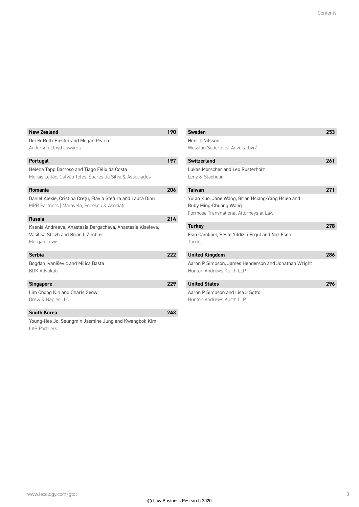| <b>New Zealand</b>                                                                                                | 190 |
|-------------------------------------------------------------------------------------------------------------------|-----|
| Derek Roth-Biester and Megan Pearce<br>Anderson Lloyd Lawyers                                                     |     |
| <b>Portugal</b>                                                                                                   | 197 |
| Helena Tapp Barroso and Tiago Félix da Costa<br>Morais Leitão, Galvão Teles, Soares da Silva & Associados         |     |
| Romania                                                                                                           | 206 |
| Daniel Alexie, Cristina Cretu, Flavia Stefura and Laura Dinu<br>MPR Partners   Maravela, Popescu & Asociatii      |     |
| <b>Russia</b>                                                                                                     | 214 |
| Ksenia Andreeva, Anastasia Dergacheva, Anastasia Kiseleva,<br>Vasilisa Strizh and Brian L Zimbler<br>Morgan Lewis |     |
| <b>Serbia</b>                                                                                                     | 222 |
| Bogdan Ivanišević and Milica Basta<br><b>BDK Advokati</b>                                                         |     |
| <b>Singapore</b>                                                                                                  | 229 |
| Lim Chong Kin and Charis Seow<br>Drew & Napier LLC                                                                |     |
| <b>South Korea</b>                                                                                                | 243 |
| Young-Hee Jo, Seungmin Jasmine Jung and Kwangbok Kim                                                              |     |

Ingmin Jasmine Jung and Kwangb<mark>i</mark> LAB Partners

| Sweden                                                                                                               | 253 |
|----------------------------------------------------------------------------------------------------------------------|-----|
| Henrik Nilsson                                                                                                       |     |
| Wesslau Södergvist Advokatbyrå                                                                                       |     |
| <b>Switzerland</b>                                                                                                   | 261 |
| <b>Lukas Morscher and Leo Rusterholz</b><br>Lenz & Staehelin                                                         |     |
| <b>Taiwan</b>                                                                                                        | 271 |
| Yulan Kuo, Jane Wang, Brian Hsiang-Yang Hsieh and<br>Ruby Ming-Chuang Wang<br>Formosa Transnational Attorneys at Law |     |
| <b>Turkey</b>                                                                                                        | 278 |
| Esin Çamlıbel, Beste Yıldızili Ergül and Naz Esen<br>Turunc                                                          |     |
| <b>United Kingdom</b>                                                                                                | 286 |
| Aaron P Simpson, James Henderson and Jonathan Wright<br>Hunton Andrews Kurth II P                                    |     |
| <b>United States</b>                                                                                                 | 296 |
| Aaron P Simpson and Lisa J Sotto<br>Hunton Andrews Kurth II P                                                        |     |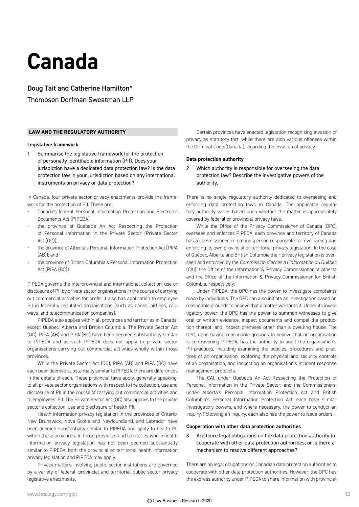### **Canada**

Doug Tait and Catherine Hamilton\*

Thompson Dorfman Sweatman LLP

#### **LAW AND THE REGULATORY AUTHORITY**

#### **Legislative framework**

1 Summarise the legislative framework for the protection of personally identifiable information (PII). Does your jurisdiction have a dedicated data protection law? Is the data protection law in your jurisdiction based on any international instruments on privacy or data protection?

In Canada, four private sector privacy enactments provide the framework for the protection of PII. These are:

- Canada's federal Personal Information Protection and Electronic Documents Act (PIPEDA);
- the province of Québec's An Act Respecting the Protection of Personal Information in the Private Sector (Private Sector  $Act$  ( $QCD$ )) $\cdot$
- the province of Alberta's Personal Information Protection Act (PIPA  $(AB)$ ); and
- the province of British Columbia's Personal Information Protection Act (PIPA (BC)).

PIPEDA governs the interprovincial and international collection, use or disclosure of PII by private sector organisations in the course of carrying out commercial activities for profit. It also has application to employee PII in federally regulated organisations (such as banks, airlines, railways, and telecommunication companies).

PIPEDA also applies within all provinces and territories in Canada, except Québec, Alberta and British Columbia. The Private Sector Act (QC), PIPA (AB) and PIPA (BC) have been deemed substantially similar to PIPEDA and as such PIPEDA does not apply to private sector organisations carrying out commercial activities wholly within those provinces.

While the Private Sector Act (QC), PIPA (AB) and PIPA (BC) have each been deemed substantially similar to PIPEDA, there are differences in the details of each. These provincial laws apply, generally speaking, to all private sector organisations with respect to the collection, use and disclosure of PII in the course of carrying out commercial activities and to employees' PII. The Private Sector Act (QC) also applies to the private sector's collection, use and disclosure of health PII.

Health information privacy legislation in the provinces of Ontario, New Brunswick, Nova Scotia and Newfoundland, and Labrador have been deemed substantially similar to PIPEDA and apply to health PII within those provinces. In those provinces and territories where health information privacy legislation has not been deemed substantially similar to PIPEDA, both the provincial or territorial health information privacy legislation and PIPEDA may apply.

Privacy matters involving public sector institutions are governed by a variety of federal, provincial and territorial public sector privacy legislative enactments.

Certain provinces have enacted legislation recognising invasion of privacy as statutory tort, while there are also various offenses within the Criminal Code (Canada) regarding the invasion of privacy.

#### **Data protection authority**

2 Which authority is responsible for overseeing the data protection law? Describe the investigative powers of the authority.

There is no single regulatory authority dedicated to overseeing and enforcing data protection laws in Canada. The applicable regulatory authority varies based upon whether the matter is appropriately covered by federal or provincial privacy laws.

While the Office of the Privacy Commissioner of Canada (OPC) oversees and enforces PIPEDA, each province and territory of Canada has a commissioner or ombudsperson responsible for overseeing and enforcing its own provincial or territorial privacy legislation. In the case of Québec, Alberta and British Columbia their privacy legislation is overseen and enforced by the *Commission d'accès à l'information du Québec* (CAI), the Office of the Information & Privacy Commissioner of Alberta and the Office of the Information & Privacy Commissioner for British Columbia, respectively.

Under PIPEDA, the OPC has the power to investigate complaints made by individuals. The OPC can also initiate an investigation based on reasonable grounds to believe that a matter warrants it. Under its investigatory power, the OPC has the power to summon witnesses to give oral or written evidence, inspect documents and compel the production thereof, and inspect premises other than a dwelling house. The OPC, upon having reasonable grounds to believe that an organisation is contravening PIPEDA, has the authority to audit the organisation's PII practices, including examining the policies, procedures and practices of an organisation, exploring the physical and security controls of an organisation, and inspecting an organisation's incident response management protocols.

The CAI, under Québec's An Act Respecting the Protection of Personal Information in the Private Sector, and the Commissioners, under Alberta's Personal Information Protection Act and British Columbia's Personal Information Protection Act, each have similar investigatory powers, and where necessary, the power to conduct an inquiry. Following an inquiry, each also has the power to issue orders.

#### **Cooperation with other data protection authorities**

 $3$  Are there legal obligations on the data protection authority to cooperate with other data protection authorities, or is there a mechanism to resolve different approaches?

There are no legal obligations on Canadian data protection authorities to cooperate with other data protection authorities. However, the OPC has the express authority under PIPEDA to share information with provincial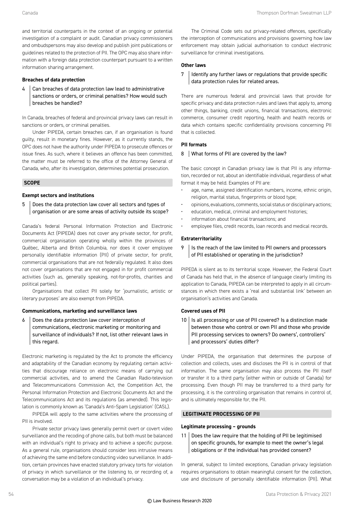and territorial counterparts in the context of an ongoing or potential investigation of a complaint or audit. Canadian privacy commissioners and ombudspersons may also develop and publish joint publications or guidelines related to the protection of PII. The OPC may also share information with a foreign data protection counterpart pursuant to a written information sharing arrangement.

#### **Breaches of data protection**

 $4$  Can breaches of data protection law lead to administrative sanctions or orders, or criminal penalties? How would such breaches be handled?

In Canada, breaches of federal and provincial privacy laws can result in sanctions or orders, or criminal penalties.

Under PIPEDA, certain breaches can, if an organisation is found guilty, result in monetary fines. However, as it currently stands, the OPC does not have the authority under PIPEDA to prosecute offences or issue fines. As such, where it believes an offence has been committed, the matter must be referred to the office of the Attorney General of Canada, who, after its investigation, determines potential prosecution.

#### **SCOPE**

#### **Exempt sectors and institutions**

5 Does the data protection law cover all sectors and types of organisation or are some areas of activity outside its scope?

Canada's federal Personal Information Protection and Electronic Documents Act (PIPEDA) does not cover any private sector, for profit, commercial organisation operating wholly within the provinces of Québec, Alberta and British Columbia, nor does it cover employee personally identifiable information (PII) of private sector, for profit, commercial organisations that are not federally regulated. It also does not cover organisations that are not engaged in for profit commercial activities (such as, generally speaking, not-for-profits, charities and political parties).

Organisations that collect PII solely for 'journalistic, artistic or literary purposes' are also exempt from PIPEDA.

#### **Communications, marketing and surveillance laws**

6 Does the data protection law cover interception of communications, electronic marketing or monitoring and surveillance of individuals? If not, list other relevant laws in this regard.

Electronic marketing is regulated by the Act to promote the efficiency and adaptability of the Canadian economy by regulating certain activities that discourage reliance on electronic means of carrying out commercial activities, and to amend the Canadian Radio-television and Telecommunications Commission Act, the Competition Act, the Personal Information Protection and Electronic Documents Act and the Telecommunications Act and its regulations (as amended). This legislation is commonly known as 'Canada's Anti-Spam Legislation' (CASL).

PIPEDA will apply to the same activities where the processing of PII is involved.

Private sector privacy laws generally permit overt or covert video surveillance and the recoding of phone calls, but both must be balanced with an individual's right to privacy and to achieve a specific purpose. As a general rule, organisations should consider less intrusive means of achieving the same end before conducting video surveillance. In addition, certain provinces have enacted statutory privacy torts for violation of privacy in which surveillance or the listening to, or recording of, a conversation may be a violation of an individual's privacy.

The Criminal Code sets out privacy-related offences, specifically the interception of communications and provisions governing how law enforcement may obtain judicial authorisation to conduct electronic surveillance for criminal investigations.

#### **Other laws**

 $7$  Identify any further laws or regulations that provide specific data protection rules for related areas.

There are numerous federal and provincial laws that provide for specific privacy and data protection rules and laws that apply to, among other things, banking, credit unions, financial transactions, electronic commerce, consumer credit reporting, health and health records or data which contains specific confidentiality provisions concerning PII that is collected.

#### **PII formats**

#### 8 | What forms of PII are covered by the law?

The basic concept in Canadian privacy law is that PII is any information, recorded or not, about an identifiable individual, regardless of what format it may be held. Examples of PII are:

- age, name, assigned identification numbers, income, ethnic origin, religion, marital status, fingerprints or blood type;
- opinions, evaluations, comments, social status or disciplinary actions;
- education, medical, criminal and employment histories;
- information about financial transactions; and
- employee files, credit records, loan records and medical records.

#### **Extraterritoriality**

9 | Is the reach of the law limited to PII owners and processors of PII established or operating in the jurisdiction?

PIPEDA is silent as to its territorial scope. However, the Federal Court of Canada has held that, in the absence of language clearly limiting its application to Canada, PIPEDA can be interpreted to apply in all circumstances in which there exists a 'real and substantial link' between an organisation's activities and Canada.

#### **Covered uses of PII**

 $10$  | Is all processing or use of PII covered? Is a distinction made between those who control or own PII and those who provide PII processing services to owners? Do owners', controllers' and processors' duties differ?

Under PIPEDA, the organisation that determines the purpose of collection and collects, uses and discloses the PII is in control of that information. The same organisation may also process the PII itself or transfer it to a third party (either within or outside of Canada) for processing. Even though PII may be transferred to a third party for processing, it is the controlling organisation that remains in control of, and is ultimately responsible for, the PII.

#### **LEGITIMATE PROCESSING OF PII**

#### **Legitimate processing – grounds**

11 Does the law require that the holding of PII be legitimised on specific grounds, for example to meet the owner's legal obligations or if the individual has provided consent?

In general, subject to limited exceptions, Canadian privacy legislation requires organisations to obtain meaningful consent for the collection, use and disclosure of personally identifiable information (PII). What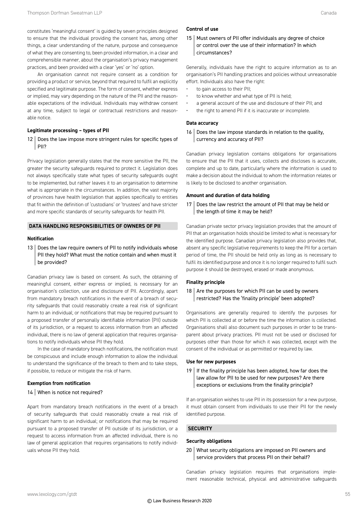constitutes 'meaningful consent' is guided by seven principles designed to ensure that the individual providing the consent has, among other things, a clear understanding of the nature, purpose and consequence of what they are consenting to, been provided information, in a clear and comprehensible manner, about the organisation's privacy management practices, and been provided with a clear 'yes' or 'no' option.

An organisation cannot not require consent as a condition for providing a product or service, beyond that required to fulfil an explicitly specified and legitimate purpose. The form of consent, whether express or implied, may vary depending on the nature of the PII and the reasonable expectations of the individual. Individuals may withdraw consent at any time, subject to legal or contractual restrictions and reasonable notice.

#### **Legitimate processing – types of PII**

12 Does the law impose more stringent rules for specific types of PII?

Privacy legislation generally states that the more sensitive the PII, the greater the security safeguards required to protect it. Legislation does not always specifically state what types of security safeguards ought to be implemented, but rather leaves it to an organisation to determine what is appropriate in the circumstances. In addition, the vast majority of provinces have health legislation that applies specifically to entities that fit within the definition of 'custodians' or 'trustees' and have stricter and more specific standards of security safeguards for health PII.

#### **DATA HANDLING RESPONSIBILITIES OF OWNERS OF PII**

#### **Notification**

13 Does the law require owners of PII to notify individuals whose PII they hold? What must the notice contain and when must it be provided?

Canadian privacy law is based on consent. As such, the obtaining of meaningful consent, either express or implied, is necessary for an organisation's collection, use and disclosure of PII. Accordingly, apart from mandatory breach notifications in the event of a breach of security safeguards that could reasonably create a real risk of significant harm to an individual; or notifications that may be required pursuant to a proposed transfer of personally identifiable information (PII) outside of its jurisdiction, or a request to access information from an affected individual, there is no law of general application that requires organisations to notify individuals whose PII they hold.

In the case of mandatory breach notifications, the notification must be conspicuous and include enough information to allow the individual to understand the significance of the breach to them and to take steps, if possible, to reduce or mitigate the risk of harm.

#### **Exemption from notification**

#### 14 | When is notice not required?

Apart from mandatory breach notifications in the event of a breach of security safeguards that could reasonably create a real risk of significant harm to an individual; or notifications that may be required pursuant to a proposed transfer of PII outside of its jurisdiction, or a request to access information from an affected individual, there is no law of general application that requires organisations to notify individuals whose PII they hold.

#### **Control of use**

15 Must owners of PII offer individuals any degree of choice or control over the use of their information? In which circumstances?

Generally, individuals have the right to acquire information as to an organisation's PII handling practices and policies without unreasonable effort. Individuals also have the right:

- to gain access to their PII;
- to know whether and what type of PII is held;
- a general account of the use and disclosure of their PII; and
- the right to amend PII if it is inaccurate or incomplete.

#### **Data accuracy**

 $16$  Does the law impose standards in relation to the quality, currency and accuracy of PII?

Canadian privacy legislation contains obligations for organisations to ensure that the PII that it uses, collects and discloses is accurate, complete and up to date, particularly where the information is used to make a decision about the individual to whom the information relates or is likely to be disclosed to another organisation.

#### **Amount and duration of data holding**

17 Does the law restrict the amount of PII that may be held or the length of time it may be held?

Canadian private sector privacy legislation provides that the amount of PII that an organisation holds should be limited to what is necessary for the identified purpose. Canadian privacy legislation also provides that, absent any specific legislative requirements to keep the PII for a certain period of time, the PII should be held only as long as is necessary to fulfil its identified purpose and once it is no longer required to fulfil such purpose it should be destroyed, erased or made anonymous.

#### **Finality principle**

#### 18  $\vert$  Are the purposes for which PII can be used by owners restricted? Has the 'finality principle' been adopted?

Organisations are generally required to identify the purposes for which PII is collected at or before the time the information is collected. Organisations shall also document such purposes in order to be transparent about privacy practices. PII must not be used or disclosed for purposes other than those for which it was collected, except with the consent of the individual or as permitted or required by law.

#### **Use for new purposes**

19 | If the finality principle has been adopted, how far does the law allow for PII to be used for new purposes? Are there exceptions or exclusions from the finality principle?

If an organisation wishes to use PII in its possession for a new purpose, it must obtain consent from individuals to use their PII for the newly identified purpose.

#### **SECURITY**

#### **Security obligations**

20 What security obligations are imposed on PII owners and service providers that process PII on their behalf?

Canadian privacy legislation requires that organisations implement reasonable technical, physical and administrative safeguards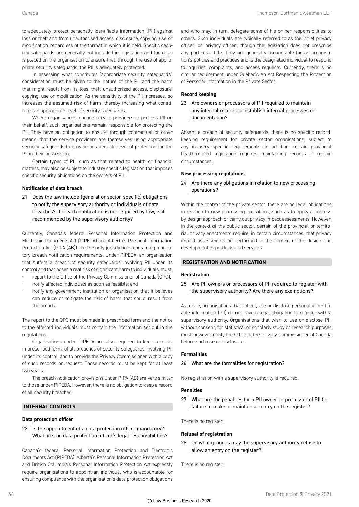to adequately protect personally identifiable information (PII) against loss or theft and from unauthorised access, disclosure, copying, use or modification, regardless of the format in which it is held. Specific security safeguards are generally not included in legislation and the onus is placed on the organisation to ensure that, through the use of appropriate security safeguards, the PII is adequately protected.

In assessing what constitutes 'appropriate security safeguards', consideration must be given to the nature of the PII and the harm that might result from its loss, theft unauthorized access, disclosure, copying, use or modification. As the sensitivity of the PII increases, so increases the assumed risk of harm, thereby increasing what constitutes an appropriate level of security safeguards.

Where organisations engage service providers to process PII on their behalf, such organisations remain responsible for protecting the PII. They have an obligation to ensure, through contractual or other means, that the service providers are themselves using appropriate security safeguards to provide an adequate level of protection for the PII in their possession.

Certain types of PII, such as that related to health or financial matters, may also be subject to industry specific legislation that imposes specific security obligations on the owners of PII.

#### **Notification of data breach**

21 | Does the law include (general or sector-specific) obligations to notify the supervisory authority or individuals of data breaches? If breach notification is not required by law, is it recommended by the supervisory authority?

Currently, Canada's federal Personal Information Protection and Electronic Documents Act (PIPEDA) and Alberta's Personal Information Protection Act (PIPA (AB)) are the only jurisdictions containing mandatory breach notification requirements. Under PIPEDA, an organisation that suffers a breach of security safeguards involving PII under its control and that poses a real risk of significant harm to individuals, must:

- report to the Office of the Privacy Commissioner of Canada (OPC);
- notify affected individuals as soon as feasible; and
- notify any government institution or organisation that it believes can reduce or mitigate the risk of harm that could result from the breach.

The report to the OPC must be made in prescribed form and the notice to the affected individuals must contain the information set out in the regulations.

Organisations under PIPEDA are also required to keep records, in prescribed form, of all breaches of security safeguards involving PII under its control, and to provide the Privacy Commissioner with a copy of such records on request. Those records must be kept for at least two years.

The breach notification provisions under PIPA (AB) are very similar to those under PIPEDA. However, there is no obligation to keep a record of all security breaches.

#### **INTERNAL CONTROLS**

#### **Data protection officer**

 $22$  | Is the appointment of a data protection officer mandatory? What are the data protection officer's legal responsibilities?

Canada's federal Personal Information Protection and Electronic Documents Act (PIPEDA), Alberta's Personal Information Protection Act and British Columbia's Personal Information Protection Act expressly require organisations to appoint an individual who is accountable for ensuring compliance with the organisation's data protection obligations

and who may, in turn, delegate some of his or her responsibilities to others. Such individuals are typically referred to as the 'chief privacy officer' or 'privacy officer', though the legislation does not prescribe any particular title. They are generally accountable for an organisation's policies and practices and is the designated individual to respond to inquiries, complaints, and access requests. Currently, there is no similar requirement under Québec's An Act Respecting the Protection of Personal Information in the Private Sector.

#### **Record keeping**

#### 23 Are owners or processors of PII required to maintain any internal records or establish internal processes or documentation?

Absent a breach of security safeguards, there is no specific recordkeeping requirement for private sector organisations, subject to any industry specific requirements. In addition, certain provincial health-related legislation requires maintaining records in certain circumstances.

#### **New processing regulations**

#### $24$  Are there any obligations in relation to new processing operations?

Within the context of the private sector, there are no legal obligations in relation to new processing operations, such as to apply a privacyby-design approach or carry out privacy impact assessments. However, in the context of the public sector, certain of the provincial or territorial privacy enactments require, in certain circumstances, that privacy impact assessments be performed in the context of the design and development of products and services.

#### **REGISTRATION AND NOTIFICATION**

#### **Registration**

25 Are PII owners or processors of PII required to register with the supervisory authority? Are there any exemptions?

As a rule, organisations that collect, use or disclose personally identifiable information (PII) do not have a legal obligation to register with a supervisory authority. Organisations that wish to use or disclose PII, without consent, for statistical or scholarly study or research purposes must however notify the Office of the Privacy Commissioner of Canada before such use or disclosure.

#### **Formalities**

#### 26 What are the formalities for registration?

No registration with a supervisory authority is required.

#### **Penalties**

27 What are the penalties for a PII owner or processor of PII for failure to make or maintain an entry on the register?

There is no register.

#### **Refusal of registration**

 $28$  On what grounds may the supervisory authority refuse to allow an entry on the register?

There is no register.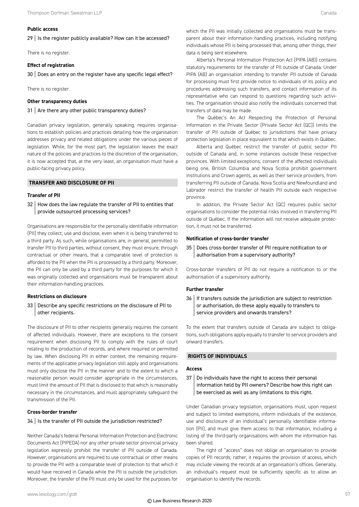#### **Public access**

 $29$  | Is the register publicly available? How can it be accessed?

There is no register.

#### **Effect of registration**

 $30$  Does an entry on the register have any specific legal effect?

There is no register.

#### **Other transparency duties**

#### 31 Are there any other public transparency duties?

Canadian privacy legislation, generally speaking, requires organisations to establish policies and practices detailing how the organisation addresses privacy and related obligations under the various pieces of legislation. While, for the most part, the legislation leaves the exact nature of the policies and practices to the discretion of the organisation, it is now accepted that, at the very least, an organisation must have a public-facing privacy policy.

#### **TRANSFER AND DISCLOSURE OF PII**

#### **Transfer of PII**

 $32$  How does the law regulate the transfer of PII to entities that provide outsourced processing services?

Organisations are responsible for the personally identifiable information (PII) they collect, use and disclose, even when it is being transferred to a third party. As such, while organisations are, in general, permitted to transfer PII to third parties, without consent, they must ensure, through contractual or other means, that a comparable level of protection is afforded to the PII when the PII is processed by a third party. Moreover, the PII can only be used by a third party for the purposes for which it was originally collected and organisations must be transparent about their information-handling practices.

#### **Restrictions on disclosure**

33 Describe any specific restrictions on the disclosure of PII to other recipients.

The disclosure of PII to other recipients generally requires the consent of affected individuals. However, there are exceptions to the consent requirement when disclosing PII to comply with the rules of court relating to the production of records, and where required or permitted by law. When disclosing PII in either context, the remaining requirements of the applicable privacy legislation still apply and organisations must only disclose the PII in the manner and to the extent to which a reasonable person would consider appropriate in the circumstances, must limit the amount of PII that is disclosed to that which is reasonably necessary in the circumstances, and must appropriately safeguard the transmission of the PII.

#### **Cross-border transfer**

#### 34 | Is the transfer of PII outside the jurisdiction restricted?

Neither Canada's federal Personal Information Protection and Electronic Documents Act (PIPEDA) nor any other private sector provincial privacy legislation expressly prohibit the transfer of PII outside of Canada. However, organisations are required to use contractual or other means to provide the PII with a comparable level of protection to that which it would have received in Canada while the PII is outside the jurisdiction. Moreover, the transfer of the PII must only be used for the purposes for

Alberta's Personal Information Protection Act (PIPA (AB)) contains statutory requirements for the transfer of PII outside of Canada. Under PIPA (AB) an organisation intending to transfer PII outside of Canada for processing must first provide notice to individuals of its policy and procedures addressing such transfers, and contact information of its representative who can respond to questions regarding such activities. The organisation should also notify the individuals concerned that transfers of data may be made.

The Québec's An Act Respecting the Protection of Personal Information in the Private Sector (Private Sector Act (QC)) limits the transfer of PII outside of Québec to jurisdictions that have privacy protection legislation in place equivalent to that which exists in Québec.

Alberta and Québec restrict the transfer of public sector PII outside of Canada and, in some instances outside these respective provinces. With limited exceptions, consent of the affected individuals being one, British Columbia and Nova Scotia prohibit government institutions and Crown agents, as well as their service providers, from transferring PII outside of Canada. Nova Scotia and Newfoundland and Labrador restrict the transfer of health PII outside each respective province.

In addition, the Private Sector Act (QC) requires public sector organisations to consider the potential risks involved in transferring PII outside of Québec. If the information will not receive adequate protection, it must not be transferred.

#### **Notification of cross-border transfer**

35 Does cross-border transfer of PII require notification to or authorisation from a supervisory authority?

Cross-border transfers of PII do not require a notification to or the authorisation of a supervisory authority.

#### **Further transfer**

36 | If transfers outside the jurisdiction are subject to restriction or authorisation, do these apply equally to transfers to service providers and onwards transfers?

To the extent that transfers outside of Canada are subject to obligations, such obligations apply equally to transfer to service providers and onward transfers.

#### **RIGHTS OF INDIVIDUALS**

#### **Access**

37 | Do individuals have the right to access their personal information held by PII owners? Describe how this right can be exercised as well as any limitations to this right.

Under Canadian privacy legislation, organisations must, upon request and subject to limited exemptions, inform individuals of the existence, use and disclosure of an individual's personally identifiable information (PII), and must give them access to that information, including a listing of the third-party organisations with whom the information has been shared.

The right of "access" does not oblige an organisation to provide copies of PII records; rather, it requires the provision of access, which may include viewing the records at an organisation's offices. Generally, an individual's request must be sufficiently specific as to allow an organisation to identify the records.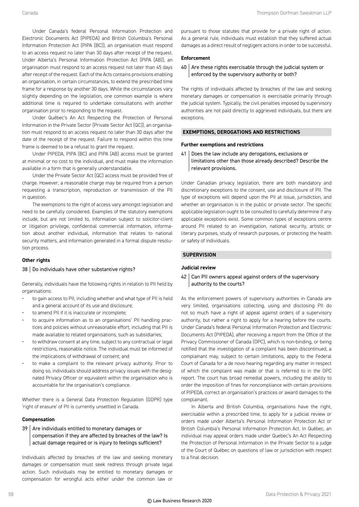Under Canada's federal Personal Information Protection and Electronic Documents Act (PIPEDA) and British Columbia's Personal Information Protection Act (PIPA (BC)), an organisation must respond to an access request no later than 30 days after receipt of the request. Under Alberta's Personal Information Protection Act (PIPA (AB)), an organisation must respond to an access request not later than 45 days after receipt of the request. Each of the Acts contains provisions enabling an organisation, in certain circumstances, to extend the prescribed time frame for a response by another 30 days. While the circumstances vary slightly depending on the legislation, one common example is where additional time is required to undertake consultations with another organisation prior to responding to the request.

Under Québec's An Act Respecting the Protection of Personal Information in the Private Sector (Private Sector Act (QC)), an organisation must respond to an access request no later than 30 days after the date of the receipt of the request. Failure to respond within this time frame is deemed to be a refusal to grant the request.

Under PIPEDA, PIPA (BC) and PIPA (AB) access must be granted at minimal or no cost to the individual, and must make the information available in a form that is generally understandable.

Under the Private Sector Act (QC) access must be provided free of charge. However, a reasonable charge may be required from a person requesting a transcription, reproduction or transmission of the PII in question.

The exemptions to the right of access vary amongst legislation and need to be carefully considered. Examples of the statutory exemptions include, but are not limited to, information subject to solicitor-client or litigation privilege, confidential commercial information, information about another individual, information that relates to national security matters, and information generated in a formal dispute resolution process.

#### **Other rights**

#### 38 | Do individuals have other substantive rights?

Generally, individuals have the following rights in relation to PII held by organisations:

- to gain access to PII, including whether and what type of PII is held and a general account of its use and disclosure;
- to amend PII if it is inaccurate or incomplete;
- to acquire information as to an organisations' PII handling practices and policies without unreasonable effort, including that PII is made available to related organisations, such as subsidiaries;
- to withdraw consent at any time, subject to any contractual or legal restrictions, reasonable notice. The individual must be informed of the implications of withdrawal of consent; and
- to make a complaint to the relevant privacy authority. Prior to doing so, individuals should address privacy issues with the designated Privacy Officer or equivalent within the organisation who is accountable for the organisation's compliance.

Whether there is a General Data Protection Regulation (GDPR) type 'right of erasure' of PII is currently unsettled in Canada.

#### **Compensation**

#### 39 Are individuals entitled to monetary damages or compensation if they are affected by breaches of the law? Is actual damage required or is injury to feelings sufficient?

Individuals affected by breaches of the law and seeking monetary damages or compensation must seek redress through private legal action. Such individuals may be entitled to monetary damages or compensation for wrongful acts either under the common law or pursuant to those statutes that provide for a private right of action. As a general rule, individuals must establish that they suffered actual damages as a direct result of negligent actions in order to be successful.

#### **Enforcement**

#### $40$  Are these rights exercisable through the judicial system or enforced by the supervisory authority or both?

The rights of individuals affected by breaches of the law and seeking monetary damages or compensation is exercisable primarily through the judicial system. Typically, the civil penalties imposed by supervisory authorities are not paid directly to aggrieved individuals, but there are exceptions.

#### **EXEMPTIONS, DEROGATIONS AND RESTRICTIONS**

#### **Further exemptions and restrictions**

41 Does the law include any derogations, exclusions or limitations other than those already described? Describe the relevant provisions.

Under Canadian privacy legislation, there are both mandatory and discretionary exceptions to the consent, use and disclosure of PII. The type of exceptions will depend upon the PII at issue, jurisdiction, and whether an organisation is in the public or private sector. The specific applicable legislation ought to be consulted to carefully determine if any applicable exceptions exist. Some common types of exceptions centre around PII related to an investigation, national security, artistic or literary purposes, study of research purposes, or protecting the health or safety of individuals.

#### **SUPERVISION**

#### **Judicial review**

#### 42 Can PII owners appeal against orders of the supervisory authority to the courts?

As the enforcement powers of supervisory authorities in Canada are very limited, organisations collecting, using and disclosing PII do not so much have a right of appeal against orders of a supervisory authority, but rather a right to apply for a hearing before the courts. Under Canada's federal Personal Information Protection and Electronic Documents Act (PIPEDA), after receiving a report from the Office of the Privacy Commissioner of Canada (OPC), which is non-binding, or being notified that the investigation of a complaint has been discontinued, a complainant may, subject to certain limitations, apply to the Federal Court of Canada for a de novo hearing regarding any matter in respect of which the complaint was made or that is referred to in the OPC report. The court has broad remedial powers, including the ability to order the imposition of fines for noncompliance with certain provisions of PIPEDA, correct an organisation's practices or award damages to the complainant.

In Alberta and British Columbia, organisations have the right, exercisable within a prescribed time, to apply for a judicial review or orders made under Alberta's Personal Information Protection Act or British Columbia's Personal Information Protection Act. In Québec, an individual may appeal orders made under Quebec's An Act Respecting the Protection of Personal Information in the Private Sector to a judge of the Court of Québec on questions of law or jurisdiction with respect to a final decision.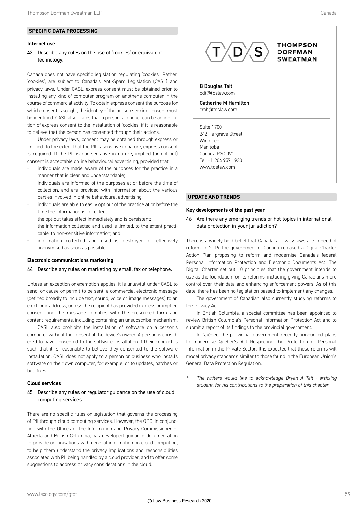#### **Internet use**

#### 43 Describe any rules on the use of 'cookies' or equivalent technology.

Canada does not have specific legislation regulating 'cookies'. Rather, 'cookies', are subject to Canada's Anti-Spam Legislation (CASL) and privacy laws. Under CASL, express consent must be obtained prior to installing any kind of computer program on another's computer in the course of commercial activity. To obtain express consent the purpose for which consent is sought, the identity of the person seeking consent must be identified. CASL also states that a person's conduct can be an indication of express consent to the installation of 'cookies' if it is reasonable to believe that the person has consented through their actions.

Under privacy laws, consent may be obtained through express or implied. To the extent that the PII is sensitive in nature, express consent is required. If the PII is non-sensitive in nature, implied (or opt-out) consent is acceptable online behavioural advertising, provided that:

- individuals are made aware of the purposes for the practice in a manner that is clear and understandable;
- individuals are informed of the purposes at or before the time of collection, and are provided with information about the various parties involved in online behavioural advertising;
- individuals are able to easily opt out of the practice at or before the time the information is collected;
- the opt-out takes effect immediately and is persistent;
- the information collected and used is limited, to the extent practicable, to non-sensitive information; and
- information collected and used is destroyed or effectively anonymised as soon as possible.

#### **Electronic communications marketing**

#### 44 | Describe any rules on marketing by email, fax or telephone.

Unless an exception or exemption applies, it is unlawful under CASL to send, or cause or permit to be sent, a commercial electronic message (defined broadly to include text, sound, voice or image messages) to an electronic address, unless the recipient has provided express or implied consent and the message complies with the prescribed form and content requirements, including containing an unsubscribe mechanism.

CASL also prohibits the installation of software on a person's computer without the consent of the device's owner. A person is considered to have consented to the software installation if their conduct is such that it is reasonable to believe they consented to the software installation. CASL does not apply to a person or business who installs software on their own computer, for example, or to updates, patches or bug fixes.

#### **Cloud services**

#### 45 | Describe any rules or regulator guidance on the use of cloud computing services.

There are no specific rules or legislation that governs the processing of PII through cloud computing services. However, the OPC, in conjunction with the Offices of the Information and Privacy Commissioner of Alberta and British Columbia, has developed guidance documentation to provide organisations with general information on cloud computing, to help them understand the privacy implications and responsibilities associated with PII being handled by a cloud provider, and to offer some suggestions to address privacy considerations in the cloud.



B Douglas Tait bdt@tdslaw.com

Catherine M Hamilton cmh@tdslaw.com

Suite 1700 242 Hargrave Street Winnipeg Manitoba Canada R3C 0V1 Tel: +1 204 957 1930 www.tdslaw.com

#### **UPDATE AND TRENDS**

#### **Key developments of the past year**

46 Are there any emerging trends or hot topics in international data protection in your jurisdiction?

There is a widely held belief that Canada's privacy laws are in need of reform. In 2019, the government of Canada released a Digital Charter Action Plan proposing to reform and modernise Canada's federal Personal Information Protection and Electronic Documents Act. The Digital Charter set out 10 principles that the government intends to use as the foundation for its reforms, including giving Canadians more control over their data and enhancing enforcement powers. As of this date, there has been no legislation passed to implement any changes.

The government of Canadian also currently studying reforms to the Privacy Act.

In British Columbia, a special committee has been appointed to review British Columbia's Personal Information Protection Act and to submit a report of its findings to the provincial government.

In Québec, the provincial government recently announced plans to modernise Quebec's Act Respecting the Protection of Personal Information in the Private Sector. It is expected that these reforms will model privacy standards similar to those found in the European Union's General Data Protection Regulation.

*\* The writers would like to acknowledge Bryan A Tait - articling student, for his contributions to the preparation of this chapter.*